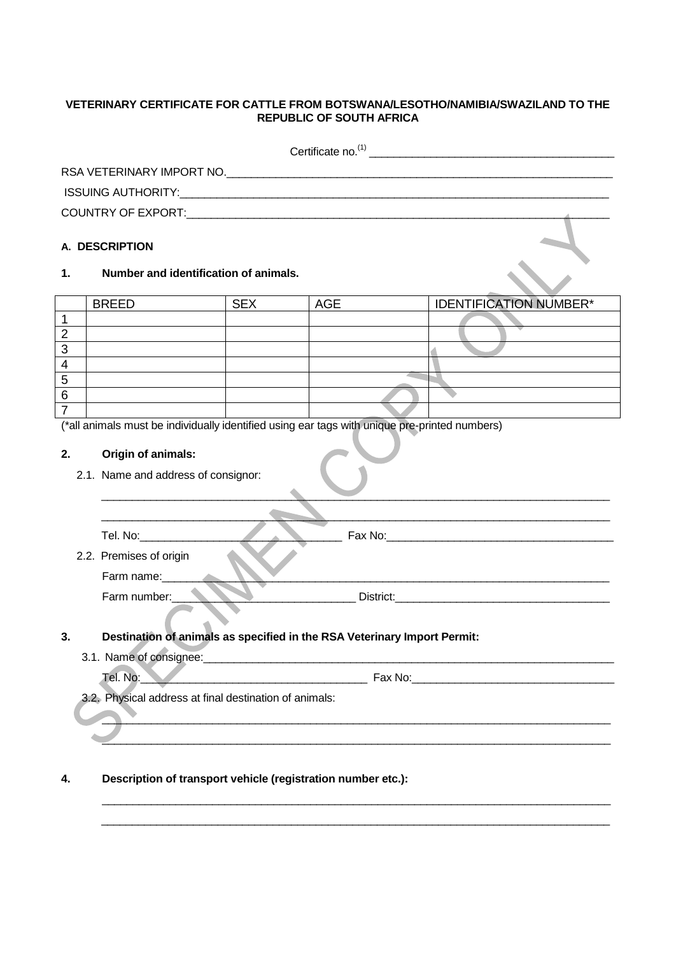## **VETERINARY CERTIFICATE FOR CATTLE FROM BOTSWANA/LESOTHO/NAMIBIA/SWAZILAND TO THE REPUBLIC OF SOUTH AFRICA**

| Certificate no. $(1)$                                                                                                                                                                                                                                                                                 |                                                                                                                                                                                                                                            |            |            |                               |  |  |  |
|-------------------------------------------------------------------------------------------------------------------------------------------------------------------------------------------------------------------------------------------------------------------------------------------------------|--------------------------------------------------------------------------------------------------------------------------------------------------------------------------------------------------------------------------------------------|------------|------------|-------------------------------|--|--|--|
| RSA VETERINARY IMPORT NO.                                                                                                                                                                                                                                                                             |                                                                                                                                                                                                                                            |            |            |                               |  |  |  |
|                                                                                                                                                                                                                                                                                                       |                                                                                                                                                                                                                                            |            |            |                               |  |  |  |
|                                                                                                                                                                                                                                                                                                       |                                                                                                                                                                                                                                            |            |            |                               |  |  |  |
|                                                                                                                                                                                                                                                                                                       | A. DESCRIPTION                                                                                                                                                                                                                             |            |            |                               |  |  |  |
| 1.                                                                                                                                                                                                                                                                                                    | Number and identification of animals.                                                                                                                                                                                                      |            |            |                               |  |  |  |
|                                                                                                                                                                                                                                                                                                       | <b>BREED</b>                                                                                                                                                                                                                               | <b>SEX</b> | <b>AGE</b> | <b>IDENTIFICATION NUMBER*</b> |  |  |  |
| $\overline{1}$                                                                                                                                                                                                                                                                                        |                                                                                                                                                                                                                                            |            |            |                               |  |  |  |
| $\overline{2}$<br>$\overline{3}$                                                                                                                                                                                                                                                                      |                                                                                                                                                                                                                                            |            |            |                               |  |  |  |
| $\overline{4}$                                                                                                                                                                                                                                                                                        |                                                                                                                                                                                                                                            |            |            |                               |  |  |  |
| $\overline{5}$                                                                                                                                                                                                                                                                                        |                                                                                                                                                                                                                                            |            |            |                               |  |  |  |
| 6                                                                                                                                                                                                                                                                                                     |                                                                                                                                                                                                                                            |            |            |                               |  |  |  |
| $\overline{7}$                                                                                                                                                                                                                                                                                        | (*all animals must be individually identified using ear tags with unique pre-printed numbers)                                                                                                                                              |            |            |                               |  |  |  |
| Origin of animals:<br>2.<br>2.1. Name and address of consignor:                                                                                                                                                                                                                                       |                                                                                                                                                                                                                                            |            |            |                               |  |  |  |
| Tel. No:____________<br>Fax No: <u>Andrea Andrew Andrew American American American American American American American American American American American American American American American American American American American American American Ame</u><br>2.2. Premises of origin<br>Farm name: |                                                                                                                                                                                                                                            |            |            |                               |  |  |  |
| Farm number:<br>District: <b>Example 2018</b>                                                                                                                                                                                                                                                         |                                                                                                                                                                                                                                            |            |            |                               |  |  |  |
| 3.                                                                                                                                                                                                                                                                                                    | Destination of animals as specified in the RSA Veterinary Import Permit:                                                                                                                                                                   |            |            |                               |  |  |  |
|                                                                                                                                                                                                                                                                                                       |                                                                                                                                                                                                                                            |            |            |                               |  |  |  |
|                                                                                                                                                                                                                                                                                                       | Tel. No:<br>Fax No: The Contract of the Contract of the Contract of the Contract of the Contract of the Contract of the Contract of the Contract of the Contract of the Contract of the Contract of the Contract of the Contract of the Co |            |            |                               |  |  |  |
|                                                                                                                                                                                                                                                                                                       | 3.2. Physical address at final destination of animals:                                                                                                                                                                                     |            |            |                               |  |  |  |
|                                                                                                                                                                                                                                                                                                       |                                                                                                                                                                                                                                            |            |            |                               |  |  |  |

\_\_\_\_\_\_\_\_\_\_\_\_\_\_\_\_\_\_\_\_\_\_\_\_\_\_\_\_\_\_\_\_\_\_\_\_\_\_\_\_\_\_\_\_\_\_\_\_\_\_\_\_\_\_\_\_\_\_\_\_\_\_\_\_\_\_\_\_\_\_\_\_\_\_\_\_\_\_\_\_\_\_\_  $\_$  , and the set of the set of the set of the set of the set of the set of the set of the set of the set of the set of the set of the set of the set of the set of the set of the set of the set of the set of the set of th

## **4. Description of transport vehicle (registration number etc.):**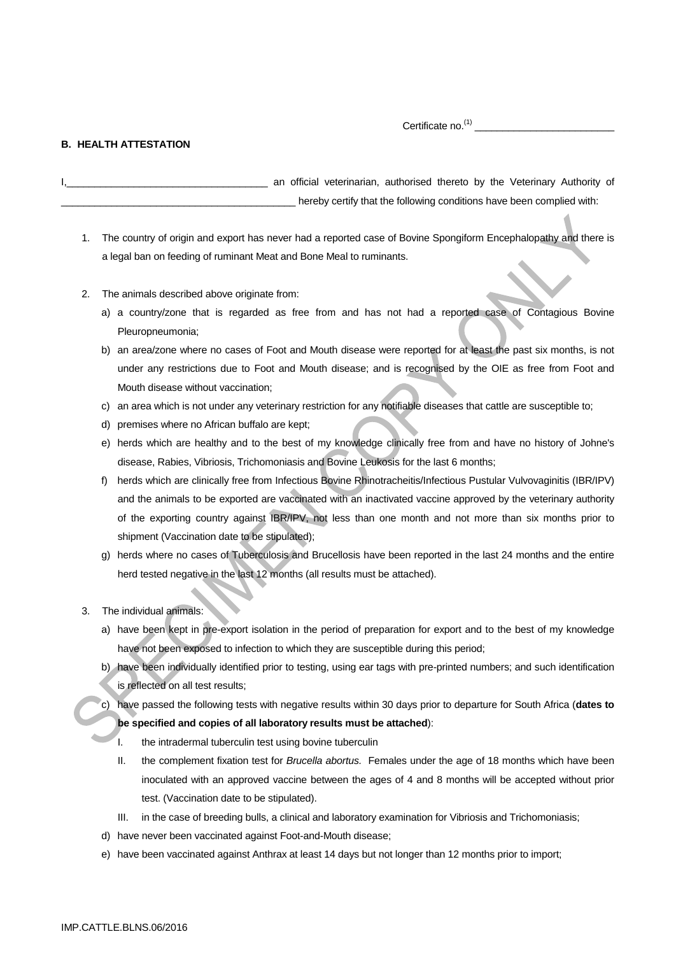Certificate no.(1) \_\_\_\_\_\_\_\_\_\_\_\_\_\_\_\_\_\_\_\_\_\_\_\_\_

## **B. HEALTH ATTESTATION**

an official veterinarian, authorised thereto by the Veterinary Authority of hereby certify that the following conditions have been complied with:

- 1. The country of origin and export has never had a reported case of Bovine Spongiform Encephalopathy and there is a legal ban on feeding of ruminant Meat and Bone Meal to ruminants.
- 2. The animals described above originate from:
	- a) a country/zone that is regarded as free from and has not had a reported case of Contagious Bovine Pleuropneumonia;
	- b) an area/zone where no cases of Foot and Mouth disease were reported for at least the past six months, is not under any restrictions due to Foot and Mouth disease; and is recognised by the OIE as free from Foot and Mouth disease without vaccination;
	- c) an area which is not under any veterinary restriction for any notifiable diseases that cattle are susceptible to;
	- d) premises where no African buffalo are kept;
	- e) herds which are healthy and to the best of my knowledge clinically free from and have no history of Johne's disease, Rabies, Vibriosis, Trichomoniasis and Bovine Leukosis for the last 6 months;
	- f) herds which are clinically free from Infectious Bovine Rhinotracheitis/Infectious Pustular Vulvovaginitis (IBR/IPV) and the animals to be exported are vaccinated with an inactivated vaccine approved by the veterinary authority of the exporting country against IBR/IPV, not less than one month and not more than six months prior to shipment (Vaccination date to be stipulated);
	- g) herds where no cases of Tuberculosis and Brucellosis have been reported in the last 24 months and the entire herd tested negative in the last 12 months (all results must be attached).
- 3. The individual animals:
	- a) have been kept in pre-export isolation in the period of preparation for export and to the best of my knowledge have not been exposed to infection to which they are susceptible during this period;
	- b) have been individually identified prior to testing, using ear tags with pre-printed numbers; and such identification is reflected on all test results;
	- c) have passed the following tests with negative results within 30 days prior to departure for South Africa (**dates to be specified and copies of all laboratory results must be attached**):
		- I. the intradermal tuberculin test using bovine tuberculin
		- II. the complement fixation test for *Brucella abortus.* Females under the age of 18 months which have been inoculated with an approved vaccine between the ages of 4 and 8 months will be accepted without prior test. (Vaccination date to be stipulated).
		- III. in the case of breeding bulls, a clinical and laboratory examination for Vibriosis and Trichomoniasis;
	- d) have never been vaccinated against Foot-and-Mouth disease;
	- e) have been vaccinated against Anthrax at least 14 days but not longer than 12 months prior to import;